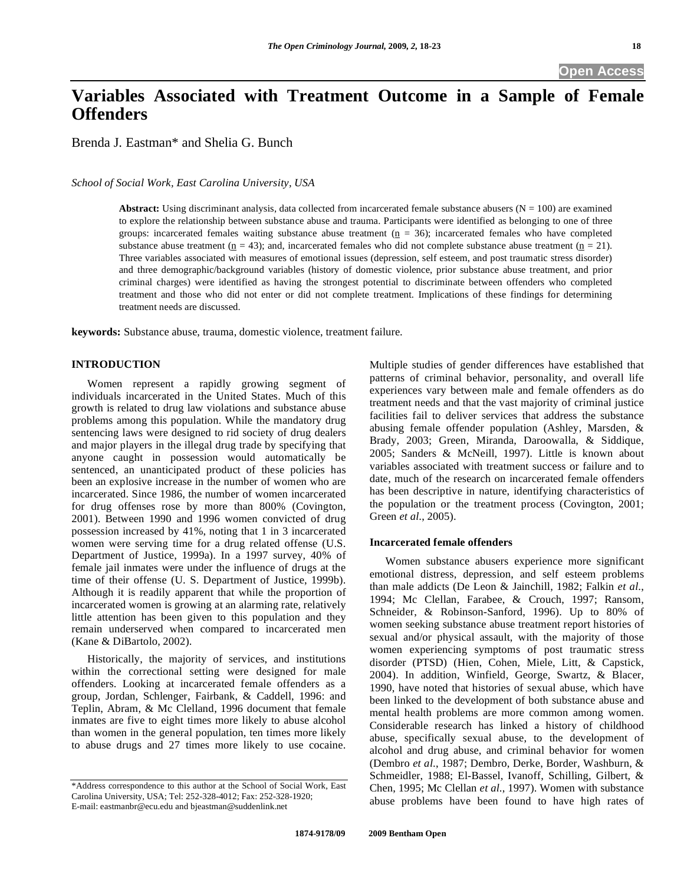# **Variables Associated with Treatment Outcome in a Sample of Female Offenders**

Brenda J. Eastman\* and Shelia G. Bunch

*School of Social Work, East Carolina University, USA* 

**Abstract:** Using discriminant analysis, data collected from incarcerated female substance abusers  $(N = 100)$  are examined to explore the relationship between substance abuse and trauma. Participants were identified as belonging to one of three groups: incarcerated females waiting substance abuse treatment  $(p = 36)$ ; incarcerated females who have completed substance abuse treatment  $(n = 43)$ ; and, incarcerated females who did not complete substance abuse treatment  $(n = 21)$ . Three variables associated with measures of emotional issues (depression, self esteem, and post traumatic stress disorder) and three demographic/background variables (history of domestic violence, prior substance abuse treatment, and prior criminal charges) were identified as having the strongest potential to discriminate between offenders who completed treatment and those who did not enter or did not complete treatment. Implications of these findings for determining treatment needs are discussed.

**keywords:** Substance abuse, trauma, domestic violence, treatment failure.

#### **INTRODUCTION**

 Women represent a rapidly growing segment of individuals incarcerated in the United States. Much of this growth is related to drug law violations and substance abuse problems among this population. While the mandatory drug sentencing laws were designed to rid society of drug dealers and major players in the illegal drug trade by specifying that anyone caught in possession would automatically be sentenced, an unanticipated product of these policies has been an explosive increase in the number of women who are incarcerated. Since 1986, the number of women incarcerated for drug offenses rose by more than 800% (Covington, 2001). Between 1990 and 1996 women convicted of drug possession increased by 41%, noting that 1 in 3 incarcerated women were serving time for a drug related offense (U.S. Department of Justice, 1999a). In a 1997 survey, 40% of female jail inmates were under the influence of drugs at the time of their offense (U. S. Department of Justice, 1999b). Although it is readily apparent that while the proportion of incarcerated women is growing at an alarming rate, relatively little attention has been given to this population and they remain underserved when compared to incarcerated men (Kane & DiBartolo, 2002).

 Historically, the majority of services, and institutions within the correctional setting were designed for male offenders. Looking at incarcerated female offenders as a group, Jordan, Schlenger, Fairbank, & Caddell, 1996: and Teplin, Abram, & Mc Clelland, 1996 document that female inmates are five to eight times more likely to abuse alcohol than women in the general population, ten times more likely to abuse drugs and 27 times more likely to use cocaine.

Multiple studies of gender differences have established that patterns of criminal behavior, personality, and overall life experiences vary between male and female offenders as do treatment needs and that the vast majority of criminal justice facilities fail to deliver services that address the substance abusing female offender population (Ashley, Marsden, & Brady, 2003; Green, Miranda, Daroowalla, & Siddique, 2005; Sanders & McNeill, 1997). Little is known about variables associated with treatment success or failure and to date, much of the research on incarcerated female offenders has been descriptive in nature, identifying characteristics of the population or the treatment process (Covington, 2001; Green *et al*., 2005).

### **Incarcerated female offenders**

 Women substance abusers experience more significant emotional distress, depression, and self esteem problems than male addicts (De Leon & Jainchill, 1982; Falkin *et al*., 1994; Mc Clellan, Farabee, & Crouch, 1997; Ransom, Schneider, & Robinson-Sanford, 1996). Up to 80% of women seeking substance abuse treatment report histories of sexual and/or physical assault, with the majority of those women experiencing symptoms of post traumatic stress disorder (PTSD) (Hien, Cohen, Miele, Litt, & Capstick, 2004). In addition, Winfield, George, Swartz, & Blacer, 1990, have noted that histories of sexual abuse, which have been linked to the development of both substance abuse and mental health problems are more common among women. Considerable research has linked a history of childhood abuse, specifically sexual abuse, to the development of alcohol and drug abuse, and criminal behavior for women (Dembro *et al*., 1987; Dembro, Derke, Border, Washburn, & Schmeidler, 1988; El-Bassel, Ivanoff, Schilling, Gilbert, & Chen, 1995; Mc Clellan *et al*., 1997). Women with substance abuse problems have been found to have high rates of

<sup>\*</sup>Address correspondence to this author at the School of Social Work, East Carolina University, USA; Tel: 252-328-4012; Fax: 252-328-1920; E-mail: eastmanbr@ecu.edu and bjeastman@suddenlink.net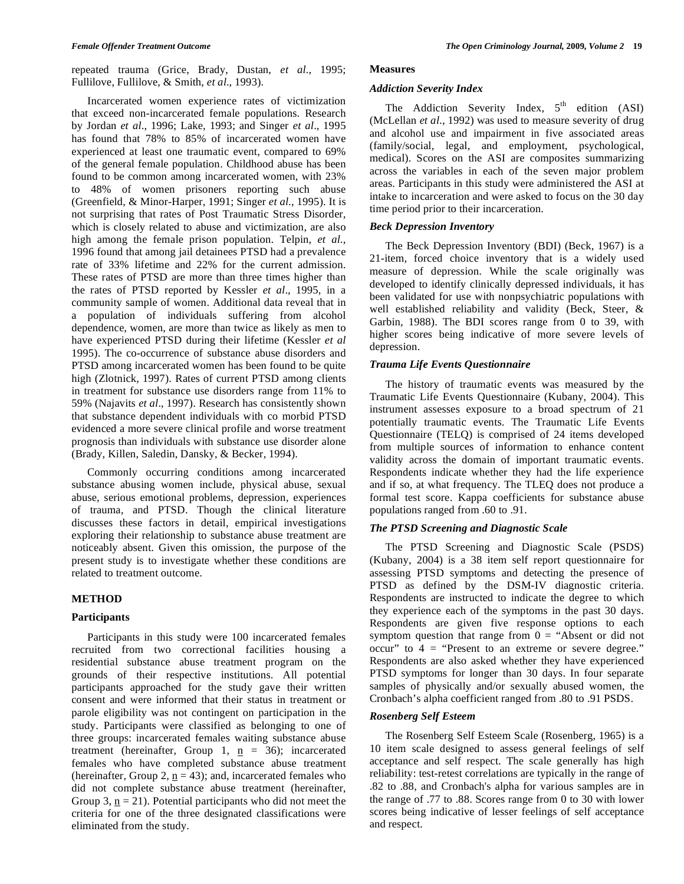repeated trauma (Grice, Brady, Dustan, *et al*., 1995; Fullilove, Fullilove, & Smith, *et al*., 1993).

 Incarcerated women experience rates of victimization that exceed non-incarcerated female populations. Research by Jordan *et al*., 1996; Lake, 1993; and Singer *et al*., 1995 has found that 78% to 85% of incarcerated women have experienced at least one traumatic event, compared to 69% of the general female population. Childhood abuse has been found to be common among incarcerated women, with 23% to 48% of women prisoners reporting such abuse (Greenfield, & Minor-Harper, 1991; Singer *et al*., 1995). It is not surprising that rates of Post Traumatic Stress Disorder, which is closely related to abuse and victimization, are also high among the female prison population. Telpin, *et al*., 1996 found that among jail detainees PTSD had a prevalence rate of 33% lifetime and 22% for the current admission. These rates of PTSD are more than three times higher than the rates of PTSD reported by Kessler *et al*., 1995, in a community sample of women. Additional data reveal that in a population of individuals suffering from alcohol dependence, women, are more than twice as likely as men to have experienced PTSD during their lifetime (Kessler *et al* 1995). The co-occurrence of substance abuse disorders and PTSD among incarcerated women has been found to be quite high (Zlotnick, 1997). Rates of current PTSD among clients in treatment for substance use disorders range from 11% to 59% (Najavits *et al*., 1997). Research has consistently shown that substance dependent individuals with co morbid PTSD evidenced a more severe clinical profile and worse treatment prognosis than individuals with substance use disorder alone (Brady, Killen, Saledin, Dansky, & Becker, 1994).

 Commonly occurring conditions among incarcerated substance abusing women include, physical abuse, sexual abuse, serious emotional problems, depression, experiences of trauma, and PTSD. Though the clinical literature discusses these factors in detail, empirical investigations exploring their relationship to substance abuse treatment are noticeably absent. Given this omission, the purpose of the present study is to investigate whether these conditions are related to treatment outcome.

# **METHOD**

# **Participants**

 Participants in this study were 100 incarcerated females recruited from two correctional facilities housing a residential substance abuse treatment program on the grounds of their respective institutions. All potential participants approached for the study gave their written consent and were informed that their status in treatment or parole eligibility was not contingent on participation in the study. Participants were classified as belonging to one of three groups: incarcerated females waiting substance abuse treatment (hereinafter, Group 1,  $n = 36$ ); incarcerated females who have completed substance abuse treatment (hereinafter, Group 2,  $n = 43$ ); and, incarcerated females who did not complete substance abuse treatment (hereinafter, Group 3,  $n = 21$ ). Potential participants who did not meet the criteria for one of the three designated classifications were eliminated from the study.

### **Measures**

## *Addiction Severity Index*

The Addiction Severity Index,  $5<sup>th</sup>$  edition (ASI) (McLellan *et al*., 1992) was used to measure severity of drug and alcohol use and impairment in five associated areas (family/social, legal, and employment, psychological, medical). Scores on the ASI are composites summarizing across the variables in each of the seven major problem areas. Participants in this study were administered the ASI at intake to incarceration and were asked to focus on the 30 day time period prior to their incarceration.

# *Beck Depression Inventory*

 The Beck Depression Inventory (BDI) (Beck, 1967) is a 21-item, forced choice inventory that is a widely used measure of depression. While the scale originally was developed to identify clinically depressed individuals, it has been validated for use with nonpsychiatric populations with well established reliability and validity (Beck, Steer, & Garbin, 1988). The BDI scores range from 0 to 39, with higher scores being indicative of more severe levels of depression.

# *Trauma Life Events Questionnaire*

 The history of traumatic events was measured by the Traumatic Life Events Questionnaire (Kubany, 2004). This instrument assesses exposure to a broad spectrum of 21 potentially traumatic events. The Traumatic Life Events Questionnaire (TELQ) is comprised of 24 items developed from multiple sources of information to enhance content validity across the domain of important traumatic events. Respondents indicate whether they had the life experience and if so, at what frequency. The TLEQ does not produce a formal test score. Kappa coefficients for substance abuse populations ranged from .60 to .91.

# *The PTSD Screening and Diagnostic Scale*

 The PTSD Screening and Diagnostic Scale (PSDS) (Kubany, 2004) is a 38 item self report questionnaire for assessing PTSD symptoms and detecting the presence of PTSD as defined by the DSM-IV diagnostic criteria. Respondents are instructed to indicate the degree to which they experience each of the symptoms in the past 30 days. Respondents are given five response options to each symptom question that range from  $0 =$  "Absent or did not occur" to  $4 =$  "Present to an extreme or severe degree." Respondents are also asked whether they have experienced PTSD symptoms for longer than 30 days. In four separate samples of physically and/or sexually abused women, the Cronbach's alpha coefficient ranged from .80 to .91 PSDS.

# *Rosenberg Self Esteem*

 The Rosenberg Self Esteem Scale (Rosenberg, 1965) is a 10 item scale designed to assess general feelings of self acceptance and self respect. The scale generally has high reliability: test-retest correlations are typically in the range of .82 to .88, and Cronbach's alpha for various samples are in the range of .77 to .88. Scores range from 0 to 30 with lower scores being indicative of lesser feelings of self acceptance and respect.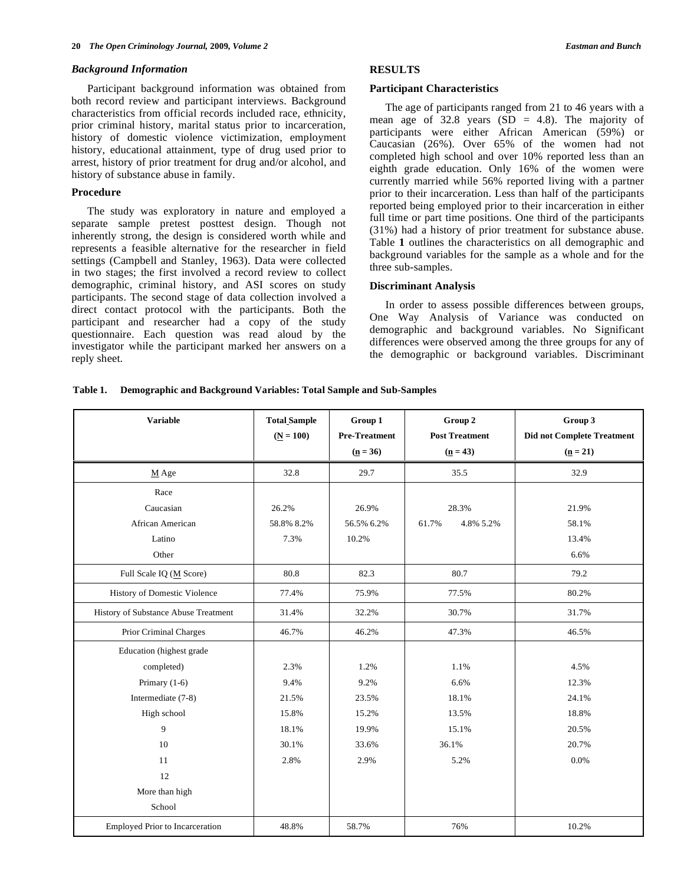#### *Background Information*

 Participant background information was obtained from both record review and participant interviews. Background characteristics from official records included race, ethnicity, prior criminal history, marital status prior to incarceration, history of domestic violence victimization, employment history, educational attainment, type of drug used prior to arrest, history of prior treatment for drug and/or alcohol, and history of substance abuse in family.

#### **Procedure**

 The study was exploratory in nature and employed a separate sample pretest posttest design. Though not inherently strong, the design is considered worth while and represents a feasible alternative for the researcher in field settings (Campbell and Stanley, 1963). Data were collected in two stages; the first involved a record review to collect demographic, criminal history, and ASI scores on study participants. The second stage of data collection involved a direct contact protocol with the participants. Both the participant and researcher had a copy of the study questionnaire. Each question was read aloud by the investigator while the participant marked her answers on a reply sheet.

# **RESULTS**

#### **Participant Characteristics**

The age of participants ranged from 21 to 46 years with a mean age of  $32.8$  years (SD = 4.8). The majority of participants were either African American (59%) or Caucasian (26%). Over 65% of the women had not completed high school and over 10% reported less than an eighth grade education. Only 16% of the women were currently married while 56% reported living with a partner prior to their incarceration. Less than half of the participants reported being employed prior to their incarceration in either full time or part time positions. One third of the participants (31%) had a history of prior treatment for substance abuse. Table **1** outlines the characteristics on all demographic and background variables for the sample as a whole and for the three sub-samples.

#### **Discriminant Analysis**

 In order to assess possible differences between groups, One Way Analysis of Variance was conducted on demographic and background variables. No Significant differences were observed among the three groups for any of the demographic or background variables. Discriminant

#### **Table 1. Demographic and Background Variables: Total Sample and Sub-Samples**

| <b>Variable</b>                        | <b>Total Sample</b> | Group 1                            | Group 2                             | Group 3                                         |
|----------------------------------------|---------------------|------------------------------------|-------------------------------------|-------------------------------------------------|
|                                        | $(N = 100)$         | <b>Pre-Treatment</b><br>$(n = 36)$ | <b>Post Treatment</b><br>$(n = 43)$ | <b>Did not Complete Treatment</b><br>$(n = 21)$ |
|                                        |                     |                                    |                                     |                                                 |
| $M$ Age                                | 32.8                | 29.7                               | 35.5                                | 32.9                                            |
| Race                                   |                     |                                    |                                     |                                                 |
| Caucasian                              | 26.2%               | 26.9%                              | 28.3%                               | 21.9%                                           |
| African American                       | 58.8% 8.2%          | 56.5% 6.2%                         | 61.7%<br>4.8% 5.2%                  | 58.1%                                           |
| Latino                                 | 7.3%                | 10.2%                              |                                     | 13.4%                                           |
| Other                                  |                     |                                    |                                     | 6.6%                                            |
| Full Scale IQ (M Score)                | 80.8                | 82.3                               | 80.7                                | 79.2                                            |
| History of Domestic Violence           | 77.4%               | 75.9%                              | 77.5%                               | 80.2%                                           |
| History of Substance Abuse Treatment   | 31.4%               | 32.2%                              | 30.7%                               | 31.7%                                           |
| Prior Criminal Charges                 | 46.7%               | 46.2%                              | 47.3%                               | 46.5%                                           |
| Education (highest grade               |                     |                                    |                                     |                                                 |
| completed)                             | 2.3%                | 1.2%                               | 1.1%                                | 4.5%                                            |
| Primary $(1-6)$                        | 9.4%                | 9.2%                               | 6.6%                                | 12.3%                                           |
| Intermediate (7-8)                     | 21.5%               | 23.5%                              | 18.1%                               | 24.1%                                           |
| High school                            | 15.8%               | 15.2%                              | 13.5%                               | 18.8%                                           |
| 9                                      | 18.1%               | 19.9%                              | 15.1%                               | 20.5%                                           |
| 10                                     | 30.1%               | 33.6%                              | 36.1%                               | 20.7%                                           |
| 11                                     | 2.8%                | 2.9%                               | 5.2%                                | 0.0%                                            |
| 12                                     |                     |                                    |                                     |                                                 |
| More than high                         |                     |                                    |                                     |                                                 |
| School                                 |                     |                                    |                                     |                                                 |
| <b>Employed Prior to Incarceration</b> | 48.8%               | 58.7%                              | 76%                                 | 10.2%                                           |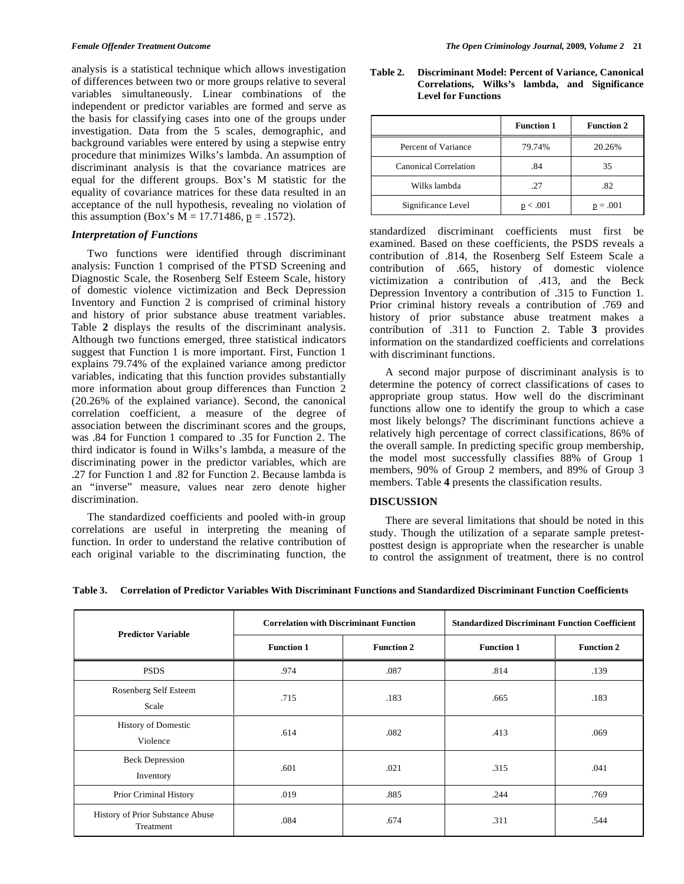analysis is a statistical technique which allows investigation of differences between two or more groups relative to several variables simultaneously. Linear combinations of the independent or predictor variables are formed and serve as the basis for classifying cases into one of the groups under investigation. Data from the 5 scales, demographic, and background variables were entered by using a stepwise entry procedure that minimizes Wilks's lambda. An assumption of discriminant analysis is that the covariance matrices are equal for the different groups. Box's M statistic for the equality of covariance matrices for these data resulted in an acceptance of the null hypothesis, revealing no violation of this assumption (Box's  $M = 17.71486$ ,  $p = .1572$ ).

#### *Interpretation of Functions*

 Two functions were identified through discriminant analysis: Function 1 comprised of the PTSD Screening and Diagnostic Scale, the Rosenberg Self Esteem Scale, history of domestic violence victimization and Beck Depression Inventory and Function 2 is comprised of criminal history and history of prior substance abuse treatment variables. Table **2** displays the results of the discriminant analysis. Although two functions emerged, three statistical indicators suggest that Function 1 is more important. First, Function 1 explains 79.74% of the explained variance among predictor variables, indicating that this function provides substantially more information about group differences than Function 2 (20.26% of the explained variance). Second, the canonical correlation coefficient, a measure of the degree of association between the discriminant scores and the groups, was .84 for Function 1 compared to .35 for Function 2. The third indicator is found in Wilks's lambda, a measure of the discriminating power in the predictor variables, which are .27 for Function 1 and .82 for Function 2. Because lambda is an "inverse" measure, values near zero denote higher discrimination.

 The standardized coefficients and pooled with-in group correlations are useful in interpreting the meaning of function. In order to understand the relative contribution of each original variable to the discriminating function, the

**Table 2. Discriminant Model: Percent of Variance, Canonical Correlations, Wilks's lambda, and Significance Level for Functions** 

|                       | <b>Function 1</b> | <b>Function 2</b> |
|-----------------------|-------------------|-------------------|
| Percent of Variance   | 79.74%            | 20.26%            |
| Canonical Correlation | .84               | 35                |
| Wilks lambda          | .27               | .82               |
| Significance Level    | p < .001          | $p = .001$        |

standardized discriminant coefficients must first be examined. Based on these coefficients, the PSDS reveals a contribution of .814, the Rosenberg Self Esteem Scale a contribution of .665, history of domestic violence victimization a contribution of .413, and the Beck Depression Inventory a contribution of .315 to Function 1. Prior criminal history reveals a contribution of .769 and history of prior substance abuse treatment makes a contribution of .311 to Function 2. Table **3** provides information on the standardized coefficients and correlations with discriminant functions.

 A second major purpose of discriminant analysis is to determine the potency of correct classifications of cases to appropriate group status. How well do the discriminant functions allow one to identify the group to which a case most likely belongs? The discriminant functions achieve a relatively high percentage of correct classifications, 86% of the overall sample. In predicting specific group membership, the model most successfully classifies 88% of Group 1 members, 90% of Group 2 members, and 89% of Group 3 members. Table **4** presents the classification results.

#### **DISCUSSION**

 There are several limitations that should be noted in this study. Though the utilization of a separate sample pretestposttest design is appropriate when the researcher is unable to control the assignment of treatment, there is no control

| <b>Predictor Variable</b>                     | <b>Correlation with Discriminant Function</b> |                   | <b>Standardized Discriminant Function Coefficient</b> |                   |
|-----------------------------------------------|-----------------------------------------------|-------------------|-------------------------------------------------------|-------------------|
|                                               | <b>Function 1</b>                             | <b>Function 2</b> | <b>Function 1</b>                                     | <b>Function 2</b> |
| <b>PSDS</b>                                   | .974                                          | .087              | .814                                                  | .139              |
| Rosenberg Self Esteem<br>Scale                | .715                                          | .183              | .665                                                  | .183              |
| <b>History of Domestic</b><br>Violence        | .614                                          | .082              | .413                                                  | .069              |
| <b>Beck Depression</b><br>Inventory           | .601                                          | .021              | .315                                                  | .041              |
| Prior Criminal History                        | .019                                          | .885              | .244                                                  | .769              |
| History of Prior Substance Abuse<br>Treatment | .084                                          | .674              | .311                                                  | .544              |

**Table 3. Correlation of Predictor Variables With Discriminant Functions and Standardized Discriminant Function Coefficients**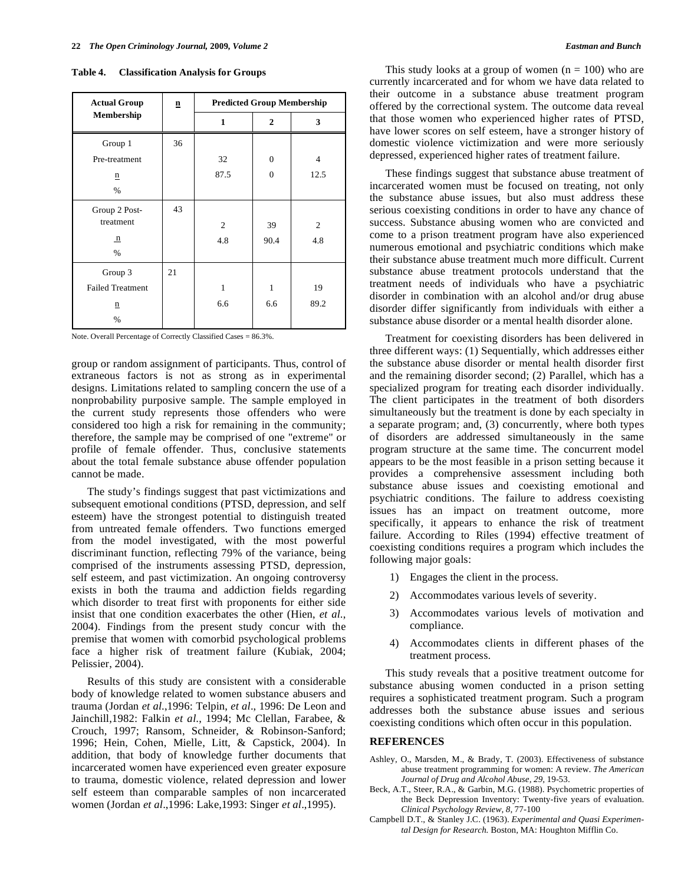| <b>Actual Group</b>     | n  | <b>Predicted Group Membership</b> |                |      |
|-------------------------|----|-----------------------------------|----------------|------|
| Membership              |    | 1                                 | $\overline{2}$ | 3    |
| Group 1                 | 36 |                                   |                |      |
| Pre-treatment           |    | 32                                | $\mathbf{0}$   | 4    |
| $\mathbf{n}$            |    | 87.5                              | $\Omega$       | 12.5 |
| $\%$                    |    |                                   |                |      |
| Group 2 Post-           | 43 |                                   |                |      |
| treatment               |    | 2                                 | 39             | 2    |
| $\mathbf{n}$            |    | 4.8                               | 90.4           | 4.8  |
| $\%$                    |    |                                   |                |      |
| Group 3                 | 21 |                                   |                |      |
| <b>Failed Treatment</b> |    | $\mathbf{1}$                      | $\mathbf{1}$   | 19   |
| n                       |    | 6.6                               | 6.6            | 89.2 |
| $\%$                    |    |                                   |                |      |

Note. Overall Percentage of Correctly Classified Cases = 86.3%.

group or random assignment of participants. Thus, control of extraneous factors is not as strong as in experimental designs. Limitations related to sampling concern the use of a nonprobability purposive sample. The sample employed in the current study represents those offenders who were considered too high a risk for remaining in the community; therefore, the sample may be comprised of one "extreme" or profile of female offender. Thus, conclusive statements about the total female substance abuse offender population cannot be made.

 The study's findings suggest that past victimizations and subsequent emotional conditions (PTSD, depression, and self esteem) have the strongest potential to distinguish treated from untreated female offenders. Two functions emerged from the model investigated, with the most powerful discriminant function, reflecting 79% of the variance, being comprised of the instruments assessing PTSD, depression, self esteem, and past victimization. An ongoing controversy exists in both the trauma and addiction fields regarding which disorder to treat first with proponents for either side insist that one condition exacerbates the other (Hien, *et al*., 2004). Findings from the present study concur with the premise that women with comorbid psychological problems face a higher risk of treatment failure (Kubiak, 2004; Pelissier, 2004).

 Results of this study are consistent with a considerable body of knowledge related to women substance abusers and trauma (Jordan *et al*.,1996: Telpin, *et al*., 1996: De Leon and Jainchill,1982: Falkin *et al*., 1994; Mc Clellan, Farabee, & Crouch, 1997; Ransom, Schneider, & Robinson-Sanford; 1996; Hein, Cohen, Mielle, Litt, & Capstick, 2004). In addition, that body of knowledge further documents that incarcerated women have experienced even greater exposure to trauma, domestic violence, related depression and lower self esteem than comparable samples of non incarcerated women (Jordan *et al*.,1996: Lake,1993: Singer *et al*.,1995).

This study looks at a group of women  $(n = 100)$  who are currently incarcerated and for whom we have data related to their outcome in a substance abuse treatment program offered by the correctional system. The outcome data reveal that those women who experienced higher rates of PTSD, have lower scores on self esteem, have a stronger history of domestic violence victimization and were more seriously depressed, experienced higher rates of treatment failure.

 These findings suggest that substance abuse treatment of incarcerated women must be focused on treating, not only the substance abuse issues, but also must address these serious coexisting conditions in order to have any chance of success. Substance abusing women who are convicted and come to a prison treatment program have also experienced numerous emotional and psychiatric conditions which make their substance abuse treatment much more difficult. Current substance abuse treatment protocols understand that the treatment needs of individuals who have a psychiatric disorder in combination with an alcohol and/or drug abuse disorder differ significantly from individuals with either a substance abuse disorder or a mental health disorder alone.

 Treatment for coexisting disorders has been delivered in three different ways: (1) Sequentially, which addresses either the substance abuse disorder or mental health disorder first and the remaining disorder second; (2) Parallel, which has a specialized program for treating each disorder individually. The client participates in the treatment of both disorders simultaneously but the treatment is done by each specialty in a separate program; and, (3) concurrently, where both types of disorders are addressed simultaneously in the same program structure at the same time. The concurrent model appears to be the most feasible in a prison setting because it provides a comprehensive assessment including both substance abuse issues and coexisting emotional and psychiatric conditions. The failure to address coexisting issues has an impact on treatment outcome, more specifically, it appears to enhance the risk of treatment failure. According to Riles (1994) effective treatment of coexisting conditions requires a program which includes the following major goals:

- 1) Engages the client in the process.
- 2) Accommodates various levels of severity.
- 3) Accommodates various levels of motivation and compliance.
- 4) Accommodates clients in different phases of the treatment process.

 This study reveals that a positive treatment outcome for substance abusing women conducted in a prison setting requires a sophisticated treatment program. Such a program addresses both the substance abuse issues and serious coexisting conditions which often occur in this population.

#### **REFERENCES**

- Ashley, O., Marsden, M., & Brady, T. (2003). Effectiveness of substance abuse treatment programming for women: A review. *The American Journal of Drug and Alcohol Abuse, 29,* 19-53.
- Beck, A.T., Steer, R.A., & Garbin, M.G. (1988). Psychometric properties of the Beck Depression Inventory: Twenty-five years of evaluation. *Clinical Psychology Review, 8,* 77-100
- Campbell D.T., & Stanley J.C. (1963). *Experimental and Quasi Experimental Design for Research.* Boston, MA: Houghton Mifflin Co.